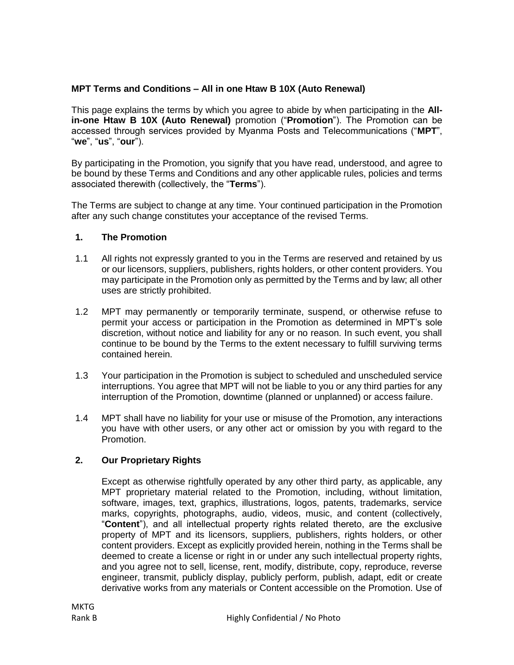# **MPT Terms and Conditions – All in one Htaw B 10X (Auto Renewal)**

This page explains the terms by which you agree to abide by when participating in the **Allin-one Htaw B 10X (Auto Renewal)** promotion ("**Promotion**"). The Promotion can be accessed through services provided by Myanma Posts and Telecommunications ("**MPT**", "**we**", "**us**", "**our**").

By participating in the Promotion, you signify that you have read, understood, and agree to be bound by these Terms and Conditions and any other applicable rules, policies and terms associated therewith (collectively, the "**Terms**").

The Terms are subject to change at any time. Your continued participation in the Promotion after any such change constitutes your acceptance of the revised Terms.

# **1. The Promotion**

- 1.1 All rights not expressly granted to you in the Terms are reserved and retained by us or our licensors, suppliers, publishers, rights holders, or other content providers. You may participate in the Promotion only as permitted by the Terms and by law; all other uses are strictly prohibited.
- 1.2 MPT may permanently or temporarily terminate, suspend, or otherwise refuse to permit your access or participation in the Promotion as determined in MPT's sole discretion, without notice and liability for any or no reason. In such event, you shall continue to be bound by the Terms to the extent necessary to fulfill surviving terms contained herein.
- 1.3 Your participation in the Promotion is subject to scheduled and unscheduled service interruptions. You agree that MPT will not be liable to you or any third parties for any interruption of the Promotion, downtime (planned or unplanned) or access failure.
- 1.4 MPT shall have no liability for your use or misuse of the Promotion, any interactions you have with other users, or any other act or omission by you with regard to the Promotion.

# **2. Our Proprietary Rights**

Except as otherwise rightfully operated by any other third party, as applicable, any MPT proprietary material related to the Promotion, including, without limitation, software, images, text, graphics, illustrations, logos, patents, trademarks, service marks, copyrights, photographs, audio, videos, music, and content (collectively, "**Content**"), and all intellectual property rights related thereto, are the exclusive property of MPT and its licensors, suppliers, publishers, rights holders, or other content providers. Except as explicitly provided herein, nothing in the Terms shall be deemed to create a license or right in or under any such intellectual property rights, and you agree not to sell, license, rent, modify, distribute, copy, reproduce, reverse engineer, transmit, publicly display, publicly perform, publish, adapt, edit or create derivative works from any materials or Content accessible on the Promotion. Use of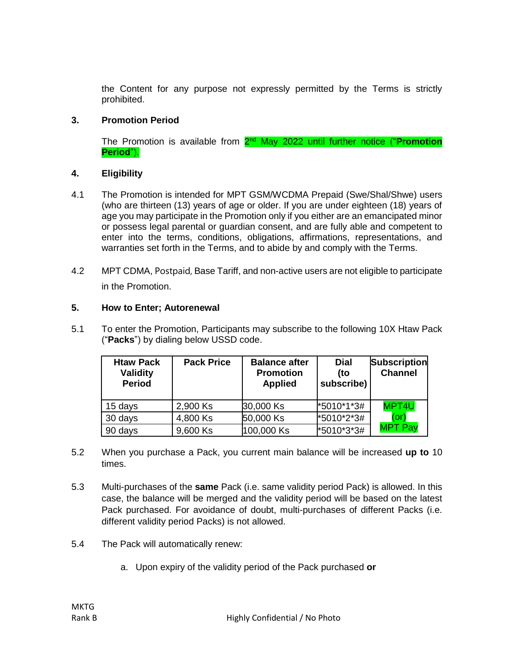the Content for any purpose not expressly permitted by the Terms is strictly prohibited.

### **3. Promotion Period**

The Promotion is available from 2<sup>nd</sup> May 2022 until further notice ("Promotion **Period**").

### **4. Eligibility**

- 4.1 The Promotion is intended for MPT GSM/WCDMA Prepaid (Swe/Shal/Shwe) users (who are thirteen (13) years of age or older. If you are under eighteen (18) years of age you may participate in the Promotion only if you either are an emancipated minor or possess legal parental or guardian consent, and are fully able and competent to enter into the terms, conditions, obligations, affirmations, representations, and warranties set forth in the Terms, and to abide by and comply with the Terms.
- 4.2 MPT CDMA, Postpaid, Base Tariff, and non-active users are not eligible to participate in the Promotion.

### **5. How to Enter; Autorenewal**

5.1 To enter the Promotion, Participants may subscribe to the following 10X Htaw Pack ("**Packs**") by dialing below USSD code.

| <b>Htaw Pack</b><br>Validity<br><b>Period</b> | <b>Pack Price</b> | <b>Balance after</b><br><b>Promotion</b><br><b>Applied</b> | <b>Dial</b><br>(to<br>subscribe) | <b>Subscription</b><br><b>Channel</b> |
|-----------------------------------------------|-------------------|------------------------------------------------------------|----------------------------------|---------------------------------------|
| 15 days                                       | 2,900 Ks          | 30,000 Ks                                                  | *5010*1*3#                       | MPT4U                                 |
| 30 days                                       | 4,800 Ks          | 50,000 Ks                                                  | *5010*2*3#                       | (or)                                  |
| 90 days                                       | 9,600 Ks          | 100,000 Ks                                                 | *5010*3*3#                       | <b>MPT Pay</b>                        |

- 5.2 When you purchase a Pack, you current main balance will be increased **up to** 10 times.
- 5.3 Multi-purchases of the **same** Pack (i.e. same validity period Pack) is allowed. In this case, the balance will be merged and the validity period will be based on the latest Pack purchased. For avoidance of doubt, multi-purchases of different Packs (i.e. different validity period Packs) is not allowed.
- 5.4 The Pack will automatically renew:
	- a. Upon expiry of the validity period of the Pack purchased **or**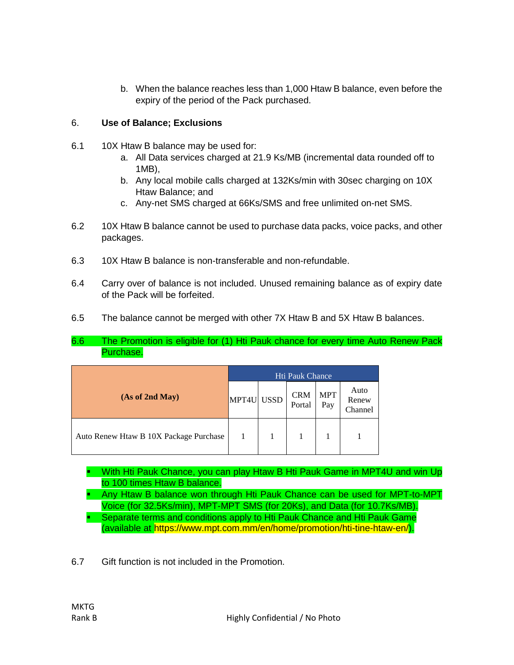b. When the balance reaches less than 1,000 Htaw B balance, even before the expiry of the period of the Pack purchased.

# 6. **Use of Balance; Exclusions**

- 6.1 10X Htaw B balance may be used for:
	- a. All Data services charged at 21.9 Ks/MB (incremental data rounded off to 1MB),
	- b. Any local mobile calls charged at 132Ks/min with 30sec charging on 10X Htaw Balance; and
	- c. Any-net SMS charged at 66Ks/SMS and free unlimited on-net SMS.
- 6.2 10X Htaw B balance cannot be used to purchase data packs, voice packs, and other packages.
- 6.3 10X Htaw B balance is non-transferable and non-refundable.
- 6.4 Carry over of balance is not included. Unused remaining balance as of expiry date of the Pack will be forfeited.
- 6.5 The balance cannot be merged with other 7X Htaw B and 5X Htaw B balances.
- 6.6 The Promotion is eligible for (1) Hti Pauk chance for every time Auto Renew Pack Purchase.

|                                        | <b>Hti Pauk Chance</b> |  |                      |                   |                          |
|----------------------------------------|------------------------|--|----------------------|-------------------|--------------------------|
| (As of 2nd May)                        | MPT4U USSD             |  | <b>CRM</b><br>Portal | <b>MPT</b><br>Pay | Auto<br>Renew<br>Channel |
| Auto Renew Htaw B 10X Package Purchase |                        |  |                      |                   |                          |

- With Hti Pauk Chance, you can play Htaw B Hti Pauk Game in MPT4U and win Up to 100 times Htaw B balance.
- Any Htaw B balance won through Hti Pauk Chance can be used for MPT-to-MPT Voice (for 32.5Ks/min), MPT-MPT SMS (for 20Ks), and Data (for 10.7Ks/MB).
- **Separate terms and conditions apply to Hti Pauk Chance and Hti Pauk Game** (available at https://www.mpt.com.mm/en/home/promotion/hti-tine-htaw-en/).
- 6.7 Gift function is not included in the Promotion.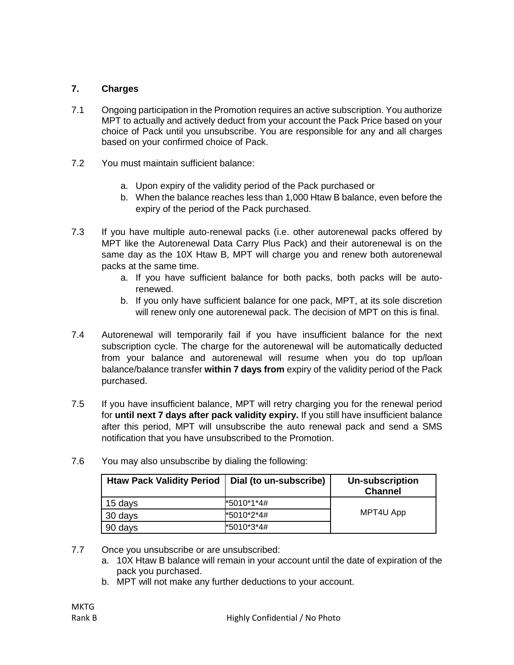# **7. Charges**

- 7.1 Ongoing participation in the Promotion requires an active subscription. You authorize MPT to actually and actively deduct from your account the Pack Price based on your choice of Pack until you unsubscribe. You are responsible for any and all charges based on your confirmed choice of Pack.
- 7.2 You must maintain sufficient balance:
	- a. Upon expiry of the validity period of the Pack purchased or
	- b. When the balance reaches less than 1,000 Htaw B balance, even before the expiry of the period of the Pack purchased.
- 7.3 If you have multiple auto-renewal packs (i.e. other autorenewal packs offered by MPT like the Autorenewal Data Carry Plus Pack) and their autorenewal is on the same day as the 10X Htaw B, MPT will charge you and renew both autorenewal packs at the same time.
	- a. If you have sufficient balance for both packs, both packs will be autorenewed.
	- b. If you only have sufficient balance for one pack, MPT, at its sole discretion will renew only one autorenewal pack. The decision of MPT on this is final.
- 7.4 Autorenewal will temporarily fail if you have insufficient balance for the next subscription cycle. The charge for the autorenewal will be automatically deducted from your balance and autorenewal will resume when you do top up/loan balance/balance transfer **within 7 days from** expiry of the validity period of the Pack purchased.
- 7.5 If you have insufficient balance, MPT will retry charging you for the renewal period for **until next 7 days after pack validity expiry.** If you still have insufficient balance after this period, MPT will unsubscribe the auto renewal pack and send a SMS notification that you have unsubscribed to the Promotion.

| <b>Htaw Pack Validity Period</b> | Dial (to un-subscribe) | Un-subscription<br><b>Channel</b> |  |
|----------------------------------|------------------------|-----------------------------------|--|
| 15 days                          | *5010*1*4#             | MPT4U App                         |  |
| 30 days                          | *5010*2*4#             |                                   |  |
| 90 days                          | *5010*3*4#             |                                   |  |

7.6 You may also unsubscribe by dialing the following:

- 7.7 Once you unsubscribe or are unsubscribed:
	- a. 10X Htaw B balance will remain in your account until the date of expiration of the pack you purchased.
	- b. MPT will not make any further deductions to your account.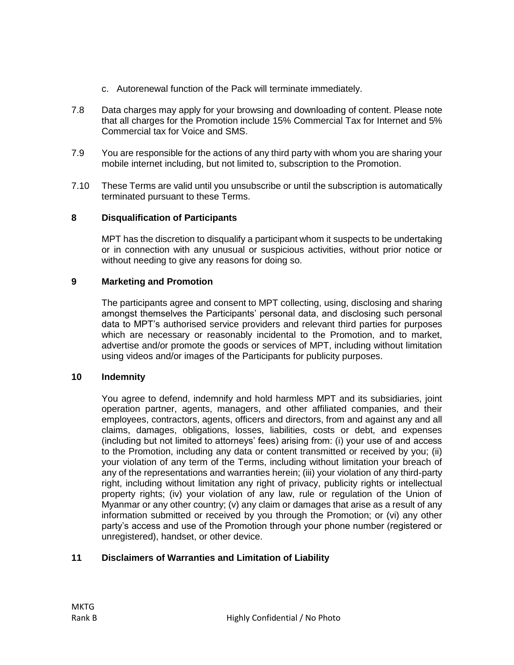- c. Autorenewal function of the Pack will terminate immediately.
- 7.8 Data charges may apply for your browsing and downloading of content. Please note that all charges for the Promotion include 15% Commercial Tax for Internet and 5% Commercial tax for Voice and SMS.
- 7.9 You are responsible for the actions of any third party with whom you are sharing your mobile internet including, but not limited to, subscription to the Promotion.
- 7.10 These Terms are valid until you unsubscribe or until the subscription is automatically terminated pursuant to these Terms.

#### **8 Disqualification of Participants**

MPT has the discretion to disqualify a participant whom it suspects to be undertaking or in connection with any unusual or suspicious activities, without prior notice or without needing to give any reasons for doing so.

#### **9 Marketing and Promotion**

The participants agree and consent to MPT collecting, using, disclosing and sharing amongst themselves the Participants' personal data, and disclosing such personal data to MPT's authorised service providers and relevant third parties for purposes which are necessary or reasonably incidental to the Promotion, and to market, advertise and/or promote the goods or services of MPT, including without limitation using videos and/or images of the Participants for publicity purposes.

#### **10 Indemnity**

You agree to defend, indemnify and hold harmless MPT and its subsidiaries, joint operation partner, agents, managers, and other affiliated companies, and their employees, contractors, agents, officers and directors, from and against any and all claims, damages, obligations, losses, liabilities, costs or debt, and expenses (including but not limited to attorneys' fees) arising from: (i) your use of and access to the Promotion, including any data or content transmitted or received by you; (ii) your violation of any term of the Terms, including without limitation your breach of any of the representations and warranties herein; (iii) your violation of any third-party right, including without limitation any right of privacy, publicity rights or intellectual property rights; (iv) your violation of any law, rule or regulation of the Union of Myanmar or any other country; (v) any claim or damages that arise as a result of any information submitted or received by you through the Promotion; or (vi) any other party's access and use of the Promotion through your phone number (registered or unregistered), handset, or other device.

#### **11 Disclaimers of Warranties and Limitation of Liability**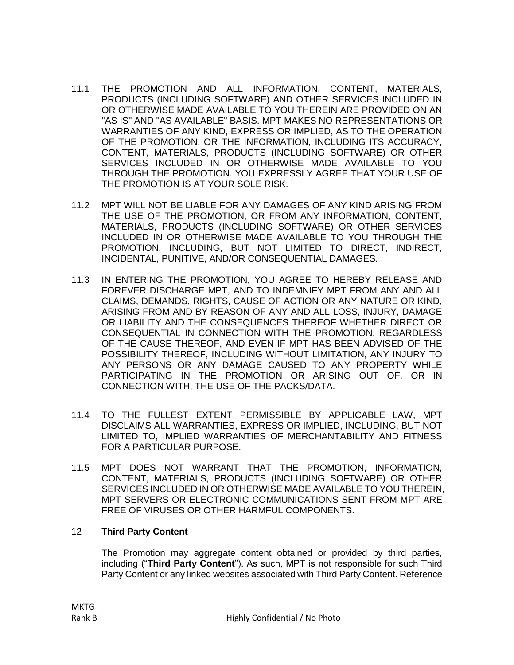- 11.1 THE PROMOTION AND ALL INFORMATION, CONTENT, MATERIALS, PRODUCTS (INCLUDING SOFTWARE) AND OTHER SERVICES INCLUDED IN OR OTHERWISE MADE AVAILABLE TO YOU THEREIN ARE PROVIDED ON AN "AS IS" AND "AS AVAILABLE" BASIS. MPT MAKES NO REPRESENTATIONS OR WARRANTIES OF ANY KIND, EXPRESS OR IMPLIED, AS TO THE OPERATION OF THE PROMOTION, OR THE INFORMATION, INCLUDING ITS ACCURACY, CONTENT, MATERIALS, PRODUCTS (INCLUDING SOFTWARE) OR OTHER SERVICES INCLUDED IN OR OTHERWISE MADE AVAILABLE TO YOU THROUGH THE PROMOTION. YOU EXPRESSLY AGREE THAT YOUR USE OF THE PROMOTION IS AT YOUR SOLE RISK.
- 11.2 MPT WILL NOT BE LIABLE FOR ANY DAMAGES OF ANY KIND ARISING FROM THE USE OF THE PROMOTION, OR FROM ANY INFORMATION, CONTENT, MATERIALS, PRODUCTS (INCLUDING SOFTWARE) OR OTHER SERVICES INCLUDED IN OR OTHERWISE MADE AVAILABLE TO YOU THROUGH THE PROMOTION, INCLUDING, BUT NOT LIMITED TO DIRECT, INDIRECT, INCIDENTAL, PUNITIVE, AND/OR CONSEQUENTIAL DAMAGES.
- 11.3 IN ENTERING THE PROMOTION, YOU AGREE TO HEREBY RELEASE AND FOREVER DISCHARGE MPT, AND TO INDEMNIFY MPT FROM ANY AND ALL CLAIMS, DEMANDS, RIGHTS, CAUSE OF ACTION OR ANY NATURE OR KIND, ARISING FROM AND BY REASON OF ANY AND ALL LOSS, INJURY, DAMAGE OR LIABILITY AND THE CONSEQUENCES THEREOF WHETHER DIRECT OR CONSEQUENTIAL IN CONNECTION WITH THE PROMOTION, REGARDLESS OF THE CAUSE THEREOF, AND EVEN IF MPT HAS BEEN ADVISED OF THE POSSIBILITY THEREOF, INCLUDING WITHOUT LIMITATION, ANY INJURY TO ANY PERSONS OR ANY DAMAGE CAUSED TO ANY PROPERTY WHILE PARTICIPATING IN THE PROMOTION OR ARISING OUT OF, OR IN CONNECTION WITH, THE USE OF THE PACKS/DATA.
- 11.4 TO THE FULLEST EXTENT PERMISSIBLE BY APPLICABLE LAW, MPT DISCLAIMS ALL WARRANTIES, EXPRESS OR IMPLIED, INCLUDING, BUT NOT LIMITED TO, IMPLIED WARRANTIES OF MERCHANTABILITY AND FITNESS FOR A PARTICULAR PURPOSE.
- 11.5 MPT DOES NOT WARRANT THAT THE PROMOTION, INFORMATION, CONTENT, MATERIALS, PRODUCTS (INCLUDING SOFTWARE) OR OTHER SERVICES INCLUDED IN OR OTHERWISE MADE AVAILABLE TO YOU THEREIN, MPT SERVERS OR ELECTRONIC COMMUNICATIONS SENT FROM MPT ARE FREE OF VIRUSES OR OTHER HARMFUL COMPONENTS.

# 12 **Third Party Content**

The Promotion may aggregate content obtained or provided by third parties, including ("**Third Party Content**"). As such, MPT is not responsible for such Third Party Content or any linked websites associated with Third Party Content. Reference